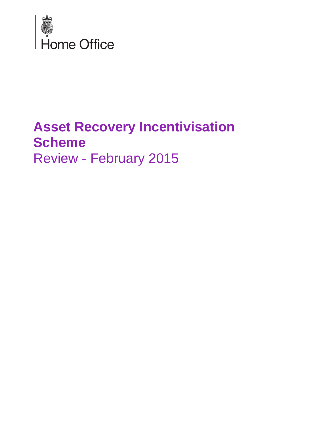

# **Asset Recovery Incentivisation Scheme**  Review - February 2015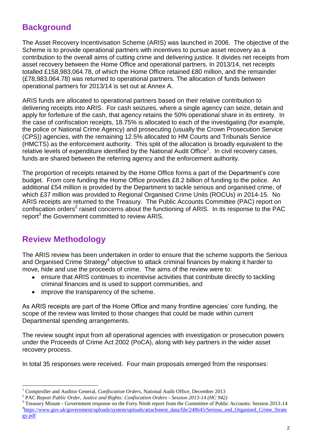# **Background**

The Asset Recovery Incentivisation Scheme (ARIS) was launched in 2006. The objective of the Scheme is to provide operational partners with incentives to pursue asset recovery as a contribution to the overall aims of cutting crime and delivering justice. It divides net receipts from asset recovery between the Home Office and operational partners. In 2013/14, net receipts totalled £158,983,064.78, of which the Home Office retained £80 million, and the remainder (£78,983,064.78) was returned to operational partners. The allocation of funds between operational partners for 2013/14 is set out at Annex A.

ARIS funds are allocated to operational partners based on their relative contribution to delivering receipts into ARIS. For cash seizures, where a single agency can seize, detain and apply for forfeiture of the cash, that agency retains the 50% operational share in its entirety. In the case of confiscation receipts, 18.75% is allocated to each of the investigating (for example, the police or National Crime Agency) and prosecuting (usually the Crown Prosecution Service (CPS)) agencies, with the remaining 12.5% allocated to HM Courts and Tribunals Service (HMCTS) as the enforcement authority. This split of the allocation is broadly equivalent to the relative levels of expenditure identified by the National Audit Office<sup>1</sup>. In civil recovery cases, funds are shared between the referring agency and the enforcement authority.

The proportion of receipts retained by the Home Office forms a part of the Department's core budget. From core funding the Home Office provides £8.2 billion of funding to the police. An additional £54 million is provided by the Department to tackle serious and organised crime, of which £37 million was provided to Regional Organised Crime Units (ROCUs) in 2014-15. No ARIS receipts are returned to the Treasury. The Public Accounts Committee (PAC) report on confiscation orders<sup>2</sup> raised concerns about the functioning of ARIS. In its response to the PAC report<sup>3</sup> the Government committed to review ARIS.

# **Review Methodology**

 $\overline{a}$ 

The ARIS review has been undertaken in order to ensure that the scheme supports the Serious and Organised Crime Strategy<sup>4</sup> objective to attack criminal finances by making it harder to move, hide and use the proceeds of crime. The aims of the review were to:

- ensure that ARIS continues to incentivise activities that contribute directly to tackling criminal finances and is used to support communities, and
- improve the transparency of the scheme.

As ARIS receipts are part of the Home Office and many frontline agencies' core funding, the scope of the review was limited to those changes that could be made within current Departmental spending arrangements.

The review sought input from all operational agencies with investigation or prosecution powers under the Proceeds of Crime Act 2002 (PoCA), along with key partners in the wider asset recovery process.

In total 35 responses were received. Four main proposals emerged from the responses:

<sup>&</sup>lt;sup>1</sup> Comptroller and Auditor General, *Confiscation Orders*, National Audit Office, December 2013

<sup>2</sup> PAC Report *Public Order, Justice and Rights: Confiscation Orders - Session 2013-14 (HC 942)*

<sup>&</sup>lt;sup>3</sup> Treasury Minute - Government response on the Forty Ninth report from the Committee of Public Accounts: Session 2013-14 <sup>4</sup>[https://www.gov.uk/government/uploads/system/uploads/attachment\\_data/file/248645/Serious\\_and\\_Organised\\_Crime\\_Strate](https://www.gov.uk/government/uploads/system/uploads/attachment_data/file/248645/Serious_and_Organised_Crime_Strategy.pdf) [gy.pdf](https://www.gov.uk/government/uploads/system/uploads/attachment_data/file/248645/Serious_and_Organised_Crime_Strategy.pdf)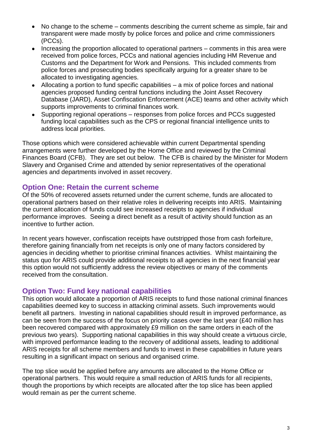- No change to the scheme comments describing the current scheme as simple, fair and transparent were made mostly by police forces and police and crime commissioners (PCCs).
- Increasing the proportion allocated to operational partners comments in this area were received from police forces, PCCs and national agencies including HM Revenue and Customs and the Department for Work and Pensions. This included comments from police forces and prosecuting bodies specifically arguing for a greater share to be allocated to investigating agencies.
- Allocating a portion to fund specific capabilities a mix of police forces and national agencies proposed funding central functions including the Joint Asset Recovery Database (JARD), Asset Confiscation Enforcement (ACE) teams and other activity which supports improvements to criminal finances work.
- Supporting regional operations responses from police forces and PCCs suggested funding local capabilities such as the CPS or regional financial intelligence units to address local priorities.

Those options which were considered achievable within current Departmental spending arrangements were further developed by the Home Office and reviewed by the Criminal Finances Board (CFB). They are set out below. The CFB is chaired by the Minister for Modern Slavery and Organised Crime and attended by senior representatives of the operational agencies and departments involved in asset recovery.

### **Option One: Retain the current scheme**

Of the 50% of recovered assets returned under the current scheme, funds are allocated to operational partners based on their relative roles in delivering receipts into ARIS. Maintaining the current allocation of funds could see increased receipts to agencies if individual performance improves. Seeing a direct benefit as a result of activity should function as an incentive to further action.

In recent years however, confiscation receipts have outstripped those from cash forfeiture, therefore gaining financially from net receipts is only one of many factors considered by agencies in deciding whether to prioritise criminal finances activities. Whilst maintaining the status quo for ARIS could provide additional receipts to all agencies in the next financial year this option would not sufficiently address the review objectives or many of the comments received from the consultation.

### **Option Two: Fund key national capabilities**

This option would allocate a proportion of ARIS receipts to fund those national criminal finances capabilities deemed key to success in attacking criminal assets. Such improvements would benefit all partners. Investing in national capabilities should result in improved performance, as can be seen from the success of the focus on priority cases over the last year (£40 million has been recovered compared with approximately £9 million on the same orders in each of the previous two years). Supporting national capabilities in this way should create a virtuous circle, with improved performance leading to the recovery of additional assets, leading to additional ARIS receipts for all scheme members and funds to invest in these capabilities in future years resulting in a significant impact on serious and organised crime.

The top slice would be applied before any amounts are allocated to the Home Office or operational partners. This would require a small reduction of ARIS funds for all recipients, though the proportions by which receipts are allocated after the top slice has been applied would remain as per the current scheme.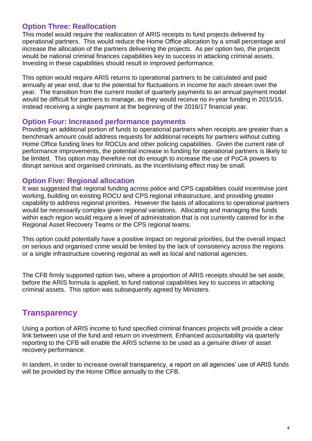## **Option Three: Reallocation**

This model would require the reallocation of ARIS receipts to fund projects delivered by operational partners. This would reduce the Home Office allocation by a small percentage and increase the allocation of the partners delivering the projects. As per option two, the projects would be national criminal finances capabilities key to success in attacking criminal assets. Investing in these capabilities should result in improved performance.

This option would require ARIS returns to operational partners to be calculated and paid annually at year end, due to the potential for fluctuations in income for each stream over the year. The transition from the current model of quarterly payments to an annual payment model would be difficult for partners to manage, as they would receive no in-year funding in 2015/16, instead receiving a single payment at the beginning of the 2016/17 financial year.

#### **Option Four: Increased performance payments**

Providing an additional portion of funds to operational partners when receipts are greater than a benchmark amount could address requests for additional receipts for partners without cutting Home Office funding lines for ROCUs and other policing capabilities. Given the current rate of performance improvements, the potential increase in funding for operational partners is likely to be limited. This option may therefore not do enough to increase the use of PoCA powers to disrupt serious and organised criminals, as the incentivising effect may be small.

#### **Option Five: Regional allocation**

It was suggested that regional funding across police and CPS capabilities could incentivise joint working, building on existing ROCU and CPS regional infrastructure, and providing greater capability to address regional priorities. However the basis of allocations to operational partners would be necessarily complex given regional variations. Allocating and managing the funds within each region would require a level of administration that is not currently catered for in the Regional Asset Recovery Teams or the CPS regional teams.

This option could potentially have a positive impact on regional priorities, but the overall impact on serious and organised crime would be limited by the lack of consistency across the regions or a single infrastructure covering regional as well as local and national agencies.

The CFB firmly supported option two, where a proportion of ARIS receipts should be set aside, before the ARIS formula is applied, to fund national capabilities key to success in attacking criminal assets. This option was subsequently agreed by Ministers.

## **Transparency**

Using a portion of ARIS income to fund specified criminal finances projects will provide a clear link between use of the fund and return on investment. Enhanced accountability via quarterly reporting to the CFB will enable the ARIS scheme to be used as a genuine driver of asset recovery performance.

In tandem, in order to increase overall transparency, a report on all agencies' use of ARIS funds will be provided by the Home Office annually to the CFB.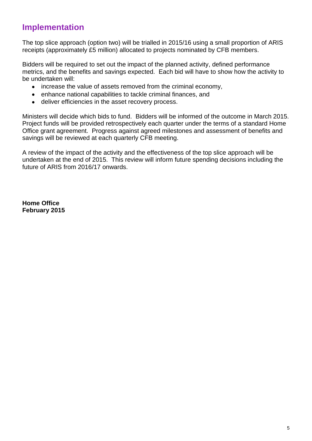## **Implementation**

The top slice approach (option two) will be trialled in 2015/16 using a small proportion of ARIS receipts (approximately £5 million) allocated to projects nominated by CFB members.

Bidders will be required to set out the impact of the planned activity, defined performance metrics, and the benefits and savings expected. Each bid will have to show how the activity to be undertaken will:

- increase the value of assets removed from the criminal economy,
- enhance national capabilities to tackle criminal finances, and
- $\bullet$ deliver efficiencies in the asset recovery process.

Ministers will decide which bids to fund. Bidders will be informed of the outcome in March 2015. Project funds will be provided retrospectively each quarter under the terms of a standard Home Office grant agreement. Progress against agreed milestones and assessment of benefits and savings will be reviewed at each quarterly CFB meeting.

A review of the impact of the activity and the effectiveness of the top slice approach will be undertaken at the end of 2015. This review will inform future spending decisions including the future of ARIS from 2016/17 onwards.

**Home Office February 2015**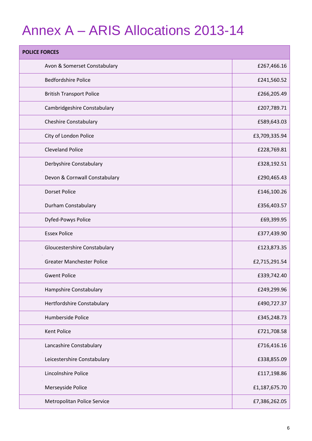# Annex A – ARIS Allocations 2013-14

| <b>POLICE FORCES</b>             |               |
|----------------------------------|---------------|
| Avon & Somerset Constabulary     | £267,466.16   |
| <b>Bedfordshire Police</b>       | £241,560.52   |
| <b>British Transport Police</b>  | £266,205.49   |
| Cambridgeshire Constabulary      | £207,789.71   |
| <b>Cheshire Constabulary</b>     | £589,643.03   |
| City of London Police            | £3,709,335.94 |
| <b>Cleveland Police</b>          | £228,769.81   |
| Derbyshire Constabulary          | £328,192.51   |
| Devon & Cornwall Constabulary    | £290,465.43   |
| <b>Dorset Police</b>             | £146,100.26   |
| Durham Constabulary              | £356,403.57   |
| Dyfed-Powys Police               | £69,399.95    |
| <b>Essex Police</b>              | £377,439.90   |
| Gloucestershire Constabulary     | £123,873.35   |
| <b>Greater Manchester Police</b> | £2,715,291.54 |
| <b>Gwent Police</b>              | £339,742.40   |
| Hampshire Constabulary           | £249,299.96   |
| Hertfordshire Constabulary       | £490,727.37   |
| Humberside Police                | £345,248.73   |
| <b>Kent Police</b>               | £721,708.58   |
| Lancashire Constabulary          | £716,416.16   |
| Leicestershire Constabulary      | £338,855.09   |
| Lincolnshire Police              | £117,198.86   |
| Merseyside Police                | £1,187,675.70 |
| Metropolitan Police Service      | £7,386,262.05 |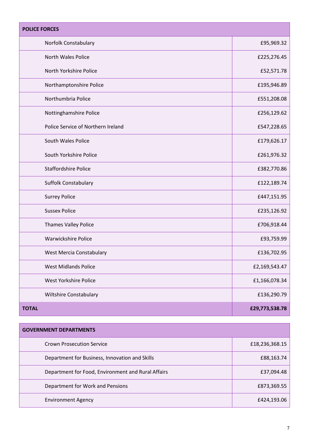| <b>POLICE FORCES</b>               |                |
|------------------------------------|----------------|
| Norfolk Constabulary               | £95,969.32     |
| North Wales Police                 | £225,276.45    |
| North Yorkshire Police             | £52,571.78     |
| Northamptonshire Police            | £195,946.89    |
| Northumbria Police                 | £551,208.08    |
| Nottinghamshire Police             | £256,129.62    |
| Police Service of Northern Ireland | £547,228.65    |
| South Wales Police                 | £179,626.17    |
| South Yorkshire Police             | £261,976.32    |
| <b>Staffordshire Police</b>        | £382,770.86    |
| Suffolk Constabulary               | £122,189.74    |
| <b>Surrey Police</b>               | £447,151.95    |
| <b>Sussex Police</b>               | £235,126.92    |
| Thames Valley Police               | £706,918.44    |
| <b>Warwickshire Police</b>         | £93,759.99     |
| West Mercia Constabulary           | £136,702.95    |
| <b>West Midlands Police</b>        | £2,169,543.47  |
| West Yorkshire Police              | £1,166,078.34  |
| Wiltshire Constabulary             | £136,290.79    |
| <b>TOTAL</b>                       | £29,773,538.78 |

| <b>GOVERNMENT DEPARTMENTS</b>                      |                |
|----------------------------------------------------|----------------|
| <b>Crown Prosecution Service</b>                   | £18,236,368.15 |
| Department for Business, Innovation and Skills     | £88,163.74     |
| Department for Food, Environment and Rural Affairs | £37,094.48     |
| Department for Work and Pensions                   | £873,369.55    |
| <b>Environment Agency</b>                          | £424,193.06    |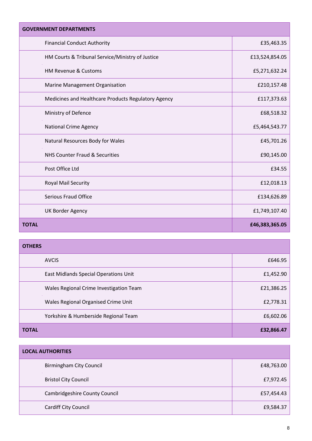| <b>GOVERNMENT DEPARTMENTS</b>                       |                |
|-----------------------------------------------------|----------------|
| <b>Financial Conduct Authority</b>                  | £35,463.35     |
| HM Courts & Tribunal Service/Ministry of Justice    | £13,524,854.05 |
| HM Revenue & Customs                                | £5,271,632.24  |
| Marine Management Organisation                      | £210,157.48    |
| Medicines and Healthcare Products Regulatory Agency | £117,373.63    |
| Ministry of Defence                                 | £68,518.32     |
| <b>National Crime Agency</b>                        | £5,464,543.77  |
| Natural Resources Body for Wales                    | £45,701.26     |
| <b>NHS Counter Fraud &amp; Securities</b>           | £90,145.00     |
| Post Office Ltd                                     | £34.55         |
| Royal Mail Security                                 | £12,018.13     |
| Serious Fraud Office                                | £134,626.89    |
| <b>UK Border Agency</b>                             | £1,749,107.40  |
| <b>TOTAL</b>                                        | £46,383,365.05 |

| <b>OTHERS</b>                           |            |
|-----------------------------------------|------------|
| <b>AVCIS</b>                            | £646.95    |
| East Midlands Special Operations Unit   | £1,452.90  |
| Wales Regional Crime Investigation Team | £21,386.25 |
| Wales Regional Organised Crime Unit     | £2,778.31  |
| Yorkshire & Humberside Regional Team    | £6,602.06  |
| <b>TOTAL</b>                            | £32,866.47 |

| <b>LOCAL AUTHORITIES</b>             |            |
|--------------------------------------|------------|
| <b>Birmingham City Council</b>       | £48,763.00 |
| <b>Bristol City Council</b>          | £7,972.45  |
| <b>Cambridgeshire County Council</b> | £57,454.43 |
| Cardiff City Council                 | £9,584.37  |

÷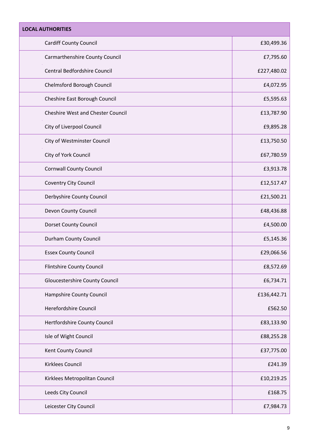| <b>LOCAL AUTHORITIES</b>                 |             |
|------------------------------------------|-------------|
| <b>Cardiff County Council</b>            | £30,499.36  |
| Carmarthenshire County Council           | £7,795.60   |
| Central Bedfordshire Council             | £227,480.02 |
| Chelmsford Borough Council               | £4,072.95   |
| Cheshire East Borough Council            | £5,595.63   |
| <b>Cheshire West and Chester Council</b> | £13,787.90  |
| City of Liverpool Council                | £9,895.28   |
| City of Westminster Council              | £13,750.50  |
| City of York Council                     | £67,780.59  |
| <b>Cornwall County Council</b>           | £3,913.78   |
| <b>Coventry City Council</b>             | £12,517.47  |
| Derbyshire County Council                | £21,500.21  |
| Devon County Council                     | £48,436.88  |
| <b>Dorset County Council</b>             | £4,500.00   |
| <b>Durham County Council</b>             | £5,145.36   |
| <b>Essex County Council</b>              | £29,066.56  |
| <b>Flintshire County Council</b>         | £8,572.69   |
| <b>Gloucestershire County Council</b>    | £6,734.71   |
| Hampshire County Council                 | £136,442.71 |
| Herefordshire Council                    | £562.50     |
| Hertfordshire County Council             | £83,133.90  |
| Isle of Wight Council                    | £88,255.28  |
| Kent County Council                      | £37,775.00  |
| Kirklees Council                         | £241.39     |
| Kirklees Metropolitan Council            | £10,219.25  |
| Leeds City Council                       | £168.75     |
| Leicester City Council                   | £7,984.73   |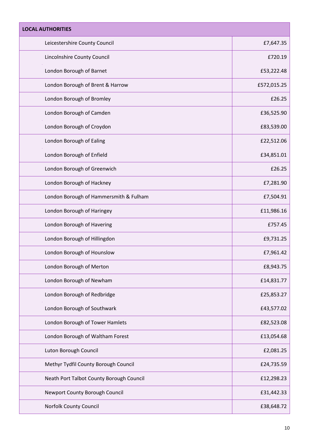| <b>LOCAL AUTHORITIES</b>                 |             |
|------------------------------------------|-------------|
| Leicestershire County Council            | £7,647.35   |
| Lincolnshire County Council              | £720.19     |
| London Borough of Barnet                 | £53,222.48  |
| London Borough of Brent & Harrow         | £572,015.25 |
| London Borough of Bromley                | £26.25      |
| London Borough of Camden                 | £36,525.90  |
| London Borough of Croydon                | £83,539.00  |
| London Borough of Ealing                 | £22,512.06  |
| London Borough of Enfield                | £34,851.01  |
| London Borough of Greenwich              | £26.25      |
| London Borough of Hackney                | £7,281.90   |
| London Borough of Hammersmith & Fulham   | £7,504.91   |
| London Borough of Haringey               | £11,986.16  |
| London Borough of Havering               | £757.45     |
| London Borough of Hillingdon             | £9,731.25   |
| London Borough of Hounslow               | £7,961.42   |
| London Borough of Merton                 | £8,943.75   |
| London Borough of Newham                 | £14,831.77  |
| London Borough of Redbridge              | £25,853.27  |
| London Borough of Southwark              | £43,577.02  |
| London Borough of Tower Hamlets          | £82,523.08  |
| London Borough of Waltham Forest         | £13,054.68  |
| Luton Borough Council                    | £2,081.25   |
| Methyr Tydfil County Borough Council     | £24,735.59  |
| Neath Port Talbot County Borough Council | £12,298.23  |
| Newport County Borough Council           | £31,442.33  |
| Norfolk County Council                   | £38,648.72  |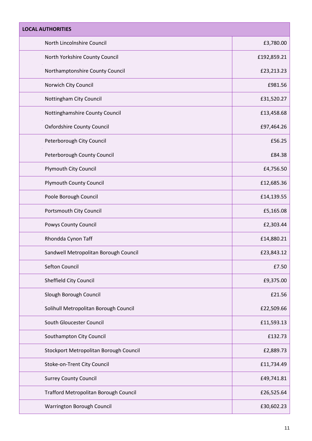| <b>LOCAL AUTHORITIES</b>               |             |
|----------------------------------------|-------------|
| North Lincolnshire Council             | £3,780.00   |
| North Yorkshire County Council         | £192,859.21 |
| Northamptonshire County Council        | £23,213.23  |
| Norwich City Council                   | £981.56     |
| Nottingham City Council                | £31,520.27  |
| Nottinghamshire County Council         | £13,458.68  |
| <b>Oxfordshire County Council</b>      | £97,464.26  |
| Peterborough City Council              | £56.25      |
| Peterborough County Council            | £84.38      |
| Plymouth City Council                  | £4,756.50   |
| <b>Plymouth County Council</b>         | £12,685.36  |
| Poole Borough Council                  | £14,139.55  |
| Portsmouth City Council                | £5,165.08   |
| Powys County Council                   | £2,303.44   |
| Rhondda Cynon Taff                     | £14,880.21  |
| Sandwell Metropolitan Borough Council  | £23,843.12  |
| <b>Sefton Council</b>                  | £7.50       |
| Sheffield City Council                 | £9,375.00   |
| Slough Borough Council                 | £21.56      |
| Solihull Metropolitan Borough Council  | £22,509.66  |
| South Gloucester Council               | £11,593.13  |
| Southampton City Council               | £132.73     |
| Stockport Metropolitan Borough Council | £2,889.73   |
| Stoke-on-Trent City Council            | £11,734.49  |
| <b>Surrey County Council</b>           | £49,741.81  |
| Trafford Metropolitan Borough Council  | £26,525.64  |
| Warrington Borough Council             | £30,602.23  |